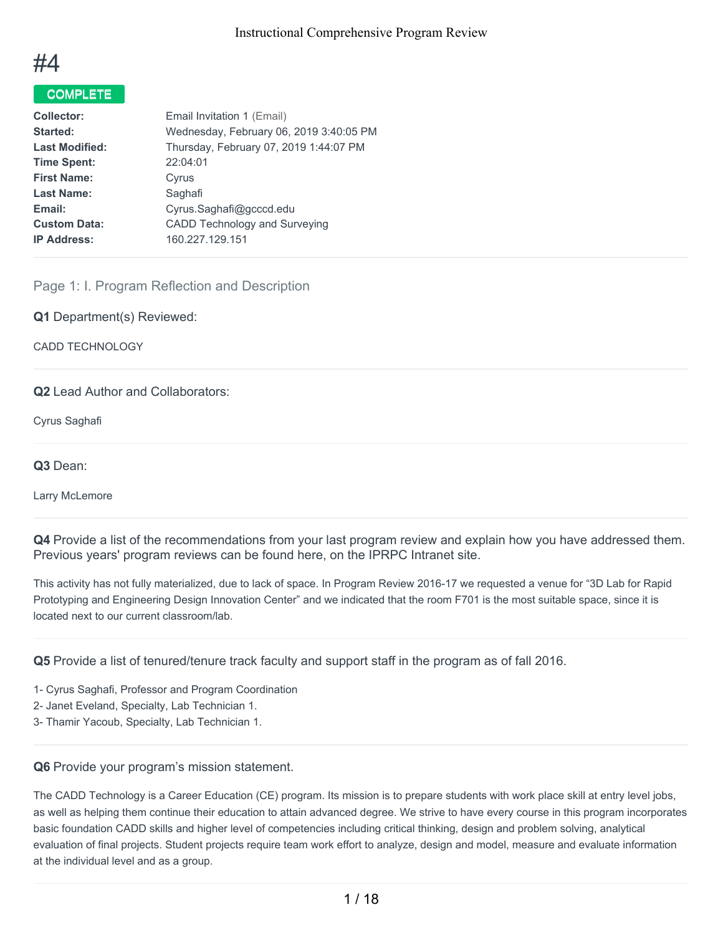

## COMPLETE

| <b>Collector:</b>     | Email Invitation 1 (Email)              |
|-----------------------|-----------------------------------------|
| Started:              | Wednesday, February 06, 2019 3:40:05 PM |
| <b>Last Modified:</b> | Thursday, February 07, 2019 1:44:07 PM  |
| <b>Time Spent:</b>    | 22:04:01                                |
| <b>First Name:</b>    | Cyrus                                   |
| <b>Last Name:</b>     | Saghafi                                 |
| Email:                | Cyrus.Saghafi@gcccd.edu                 |
| <b>Custom Data:</b>   | <b>CADD Technology and Surveying</b>    |
| <b>IP Address:</b>    | 160.227.129.151                         |
|                       |                                         |

## Page 1: I. Program Reflection and Description

**Q1** Department(s) Reviewed:

CADD TECHNOLOGY

## **Q2** Lead Author and Collaborators:

Cyrus Saghafi

**Q3** Dean:

Larry McLemore

**Q4** Provide a list of the recommendations from your last program review and explain how you have addressed them. Previous years' program reviews can be found here, on the IPRPC Intranet site.

This activity has not fully materialized, due to lack of space. In Program Review 2016-17 we requested a venue for "3D Lab for Rapid Prototyping and Engineering Design Innovation Center" and we indicated that the room F701 is the most suitable space, since it is located next to our current classroom/lab.

**Q5** Provide a list of tenured/tenure track faculty and support staff in the program as of fall 2016.

1- Cyrus Saghafi, Professor and Program Coordination

2- Janet Eveland, Specialty, Lab Technician 1.

3- Thamir Yacoub, Specialty, Lab Technician 1.

#### **Q6** Provide your program's mission statement.

The CADD Technology is a Career Education (CE) program. Its mission is to prepare students with work place skill at entry level jobs, as well as helping them continue their education to attain advanced degree. We strive to have every course in this program incorporates basic foundation CADD skills and higher level of competencies including critical thinking, design and problem solving, analytical evaluation of final projects. Student projects require team work effort to analyze, design and model, measure and evaluate information at the individual level and as a group.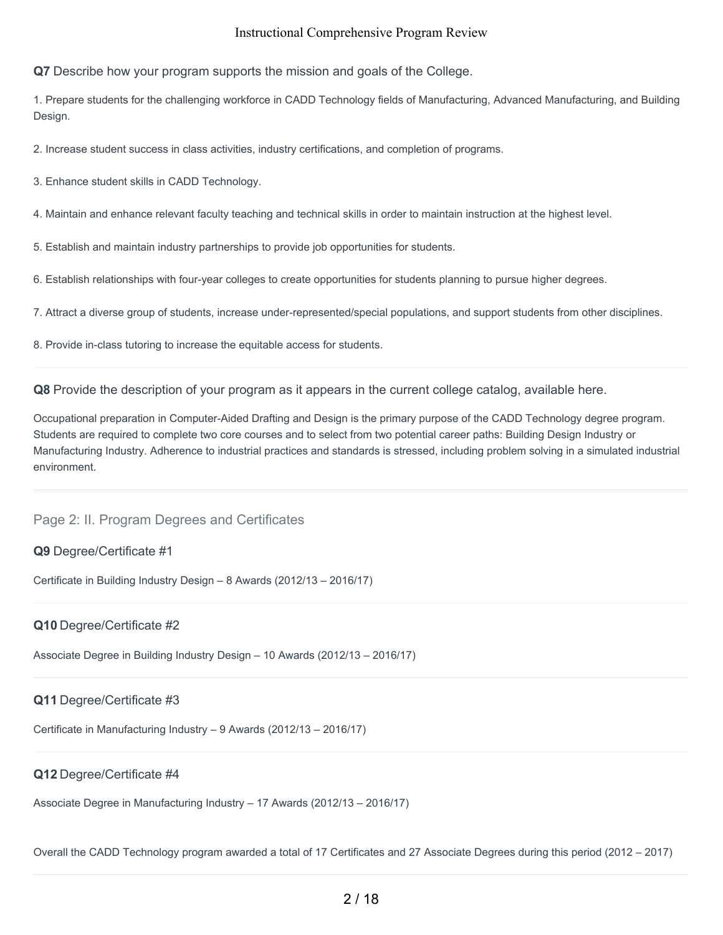**Q7** Describe how your program supports the mission and goals of the College.

1. Prepare students for the challenging workforce in CADD Technology fields of Manufacturing, Advanced Manufacturing, and Building Design.

2. Increase student success in class activities, industry certifications, and completion of programs.

3. Enhance student skills in CADD Technology.

4. Maintain and enhance relevant faculty teaching and technical skills in order to maintain instruction at the highest level.

5. Establish and maintain industry partnerships to provide job opportunities for students.

6. Establish relationships with four-year colleges to create opportunities for students planning to pursue higher degrees.

7. Attract a diverse group of students, increase under-represented/special populations, and support students from other disciplines.

8. Provide in-class tutoring to increase the equitable access for students.

**Q8** Provide the description of your program as it appears in the current college catalog, available here.

Occupational preparation in Computer-Aided Drafting and Design is the primary purpose of the CADD Technology degree program. Students are required to complete two core courses and to select from two potential career paths: Building Design Industry or Manufacturing Industry. Adherence to industrial practices and standards is stressed, including problem solving in a simulated industrial environment.

## Page 2: II. Program Degrees and Certificates

#### **Q9** Degree/Certificate #1

Certificate in Building Industry Design – 8 Awards (2012/13 – 2016/17)

#### **Q10** Degree/Certificate #2

Associate Degree in Building Industry Design – 10 Awards (2012/13 – 2016/17)

## **Q11** Degree/Certificate #3

Certificate in Manufacturing Industry – 9 Awards (2012/13 – 2016/17)

## **Q12** Degree/Certificate #4

Associate Degree in Manufacturing Industry – 17 Awards (2012/13 – 2016/17)

Overall the CADD Technology program awarded a total of 17 Certificates and 27 Associate Degrees during this period (2012 – 2017)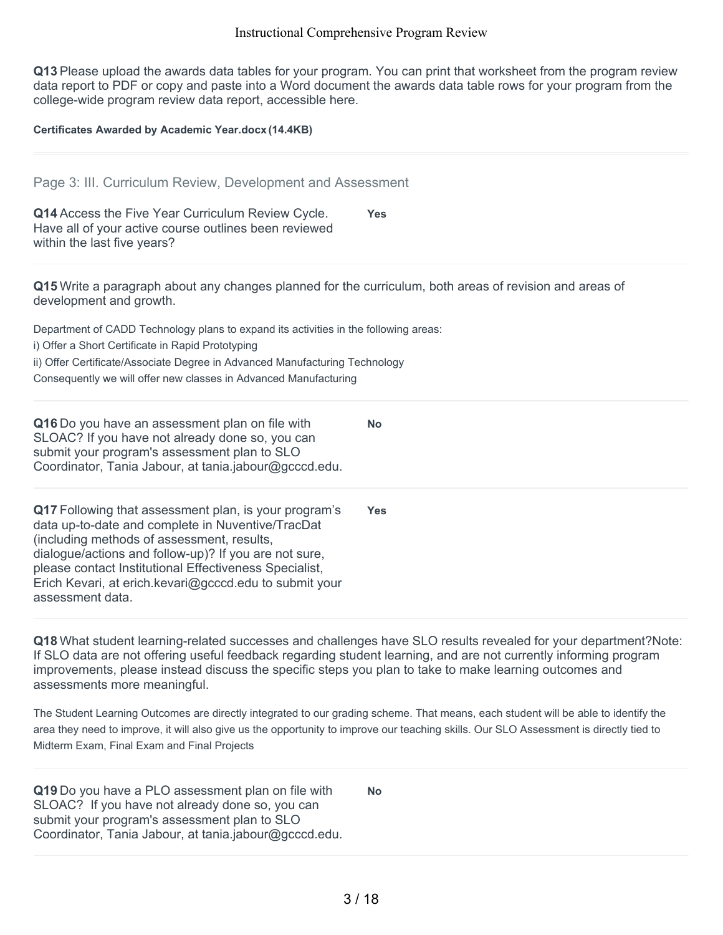**Q13** Please upload the awards data tables for your program. You can print that worksheet from the program review data report to PDF or copy and paste into a Word document the awards data table rows for your program from the college-wide program review data report, accessible here.

**Certificates Awarded by Academic Year.docx (14.4KB)**

| Page 3: III. Curriculum Review, Development and Assessment                                                                                                                                                                                                                                                                                                |            |
|-----------------------------------------------------------------------------------------------------------------------------------------------------------------------------------------------------------------------------------------------------------------------------------------------------------------------------------------------------------|------------|
| Q14 Access the Five Year Curriculum Review Cycle.<br>Have all of your active course outlines been reviewed<br>within the last five years?                                                                                                                                                                                                                 | <b>Yes</b> |
| Q15 Write a paragraph about any changes planned for the curriculum, both areas of revision and areas of<br>development and growth.                                                                                                                                                                                                                        |            |
| Department of CADD Technology plans to expand its activities in the following areas:                                                                                                                                                                                                                                                                      |            |
| i) Offer a Short Certificate in Rapid Prototyping                                                                                                                                                                                                                                                                                                         |            |
| ii) Offer Certificate/Associate Degree in Advanced Manufacturing Technology                                                                                                                                                                                                                                                                               |            |
| Consequently we will offer new classes in Advanced Manufacturing                                                                                                                                                                                                                                                                                          |            |
| Q16 Do you have an assessment plan on file with<br>SLOAC? If you have not already done so, you can<br>submit your program's assessment plan to SLO<br>Coordinator, Tania Jabour, at tania.jabour@gcccd.edu.                                                                                                                                               | <b>No</b>  |
| Q17 Following that assessment plan, is your program's<br>data up-to-date and complete in Nuventive/TracDat<br>(including methods of assessment, results,<br>dialogue/actions and follow-up)? If you are not sure,<br>please contact Institutional Effectiveness Specialist,<br>Erich Kevari, at erich kevari@gcccd.edu to submit your<br>assessment data. | <b>Yes</b> |
|                                                                                                                                                                                                                                                                                                                                                           |            |

**Q18** What student learning-related successes and challenges have SLO results revealed for your department?Note: If SLO data are not offering useful feedback regarding student learning, and are not currently informing program improvements, please instead discuss the specific steps you plan to take to make learning outcomes and assessments more meaningful.

The Student Learning Outcomes are directly integrated to our grading scheme. That means, each student will be able to identify the area they need to improve, it will also give us the opportunity to improve our teaching skills. Our SLO Assessment is directly tied to Midterm Exam, Final Exam and Final Projects

**Q19** Do you have a PLO assessment plan on file with SLOAC? If you have not already done so, you can submit your program's assessment plan to SLO Coordinator, Tania Jabour, at tania.jabour@gcccd.edu. **No**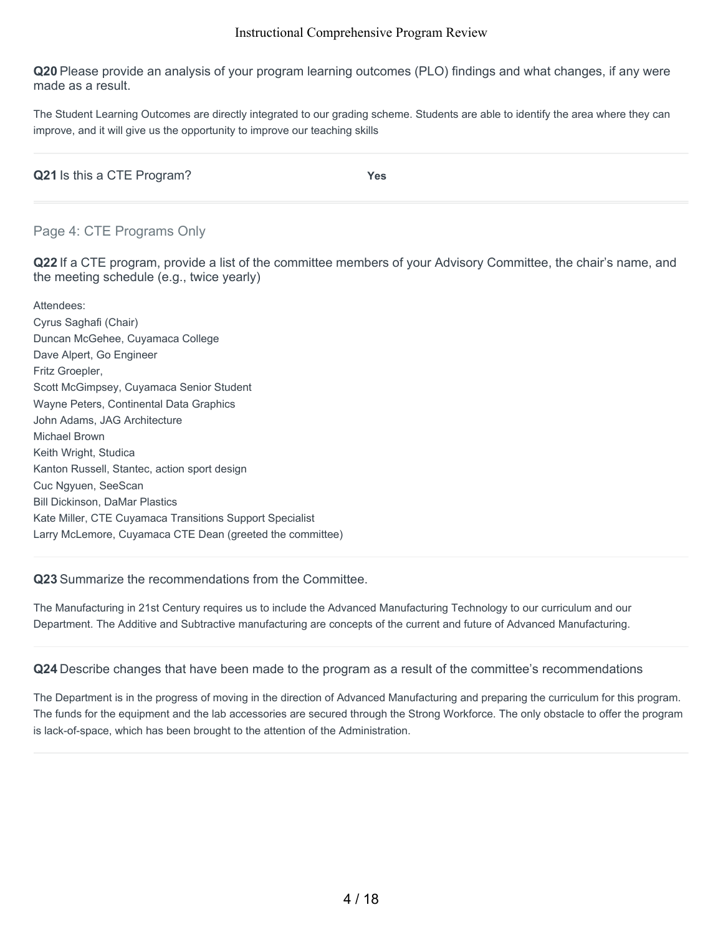**Q20** Please provide an analysis of your program learning outcomes (PLO) findings and what changes, if any were made as a result.

The Student Learning Outcomes are directly integrated to our grading scheme. Students are able to identify the area where they can improve, and it will give us the opportunity to improve our teaching skills

| Q21 Is this a CTE Program? | Yes |
|----------------------------|-----|
|                            |     |

## Page 4: CTE Programs Only

**Q22** If a CTE program, provide a list of the committee members of your Advisory Committee, the chair's name, and the meeting schedule (e.g., twice yearly)

Attendees: Cyrus Saghafi (Chair) Duncan McGehee, Cuyamaca College Dave Alpert, Go Engineer Fritz Groepler, Scott McGimpsey, Cuyamaca Senior Student Wayne Peters, Continental Data Graphics John Adams, JAG Architecture Michael Brown Keith Wright, Studica Kanton Russell, Stantec, action sport design Cuc Ngyuen, SeeScan Bill Dickinson, DaMar Plastics Kate Miller, CTE Cuyamaca Transitions Support Specialist Larry McLemore, Cuyamaca CTE Dean (greeted the committee)

#### **Q23** Summarize the recommendations from the Committee.

The Manufacturing in 21st Century requires us to include the Advanced Manufacturing Technology to our curriculum and our Department. The Additive and Subtractive manufacturing are concepts of the current and future of Advanced Manufacturing.

**Q24** Describe changes that have been made to the program as a result of the committee's recommendations

The Department is in the progress of moving in the direction of Advanced Manufacturing and preparing the curriculum for this program. The funds for the equipment and the lab accessories are secured through the Strong Workforce. The only obstacle to offer the program is lack-of-space, which has been brought to the attention of the Administration.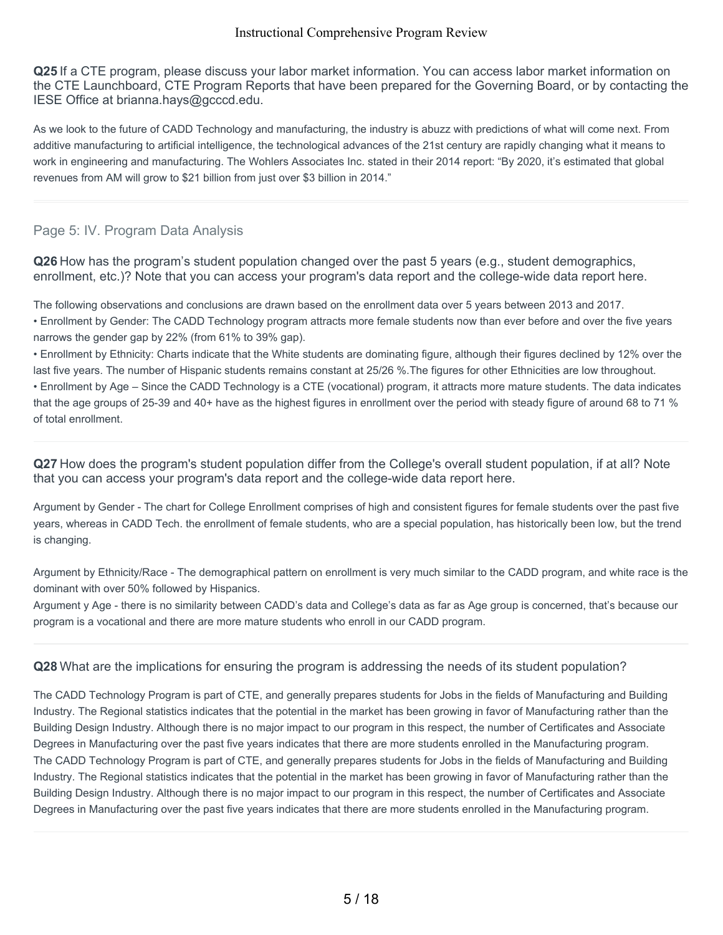**Q25** If a CTE program, please discuss your labor market information. You can access labor market information on the CTE Launchboard, CTE Program Reports that have been prepared for the Governing Board, or by contacting the IESE Office at brianna.hays@gcccd.edu.

As we look to the future of CADD Technology and manufacturing, the industry is abuzz with predictions of what will come next. From additive manufacturing to articial intelligence, the technological advances of the 21st century are rapidly changing what it means to work in engineering and manufacturing. The Wohlers Associates Inc. stated in their 2014 report: "By 2020, it's estimated that global revenues from AM will grow to \$21 billion from just over \$3 billion in 2014."

## Page 5: IV. Program Data Analysis

**Q26** How has the program's student population changed over the past 5 years (e.g., student demographics, enrollment, etc.)? Note that you can access your program's data report and the college-wide data report here.

The following observations and conclusions are drawn based on the enrollment data over 5 years between 2013 and 2017.

• Enrollment by Gender: The CADD Technology program attracts more female students now than ever before and over the five years narrows the gender gap by 22% (from 61% to 39% gap).

• Enrollment by Ethnicity: Charts indicate that the White students are dominating figure, although their figures declined by 12% over the last five years. The number of Hispanic students remains constant at 25/26 %.The figures for other Ethnicities are low throughout. • Enrollment by Age – Since the CADD Technology is a CTE (vocational) program, it attracts more mature students. The data indicates that the age groups of 25-39 and 40+ have as the highest figures in enrollment over the period with steady figure of around 68 to 71 % of total enrollment.

**Q27** How does the program's student population differ from the College's overall student population, if at all? Note that you can access your program's data report and the college-wide data report here.

Argument by Gender - The chart for College Enrollment comprises of high and consistent figures for female students over the past five years, whereas in CADD Tech. the enrollment of female students, who are a special population, has historically been low, but the trend is changing.

Argument by Ethnicity/Race - The demographical pattern on enrollment is very much similar to the CADD program, and white race is the dominant with over 50% followed by Hispanics.

Argument y Age - there is no similarity between CADD's data and College's data as far as Age group is concerned, that's because our program is a vocational and there are more mature students who enroll in our CADD program.

#### **Q28** What are the implications for ensuring the program is addressing the needs of its student population?

The CADD Technology Program is part of CTE, and generally prepares students for Jobs in the fields of Manufacturing and Building Industry. The Regional statistics indicates that the potential in the market has been growing in favor of Manufacturing rather than the Building Design Industry. Although there is no major impact to our program in this respect, the number of Certificates and Associate Degrees in Manufacturing over the past five years indicates that there are more students enrolled in the Manufacturing program. The CADD Technology Program is part of CTE, and generally prepares students for Jobs in the fields of Manufacturing and Building Industry. The Regional statistics indicates that the potential in the market has been growing in favor of Manufacturing rather than the Building Design Industry. Although there is no major impact to our program in this respect, the number of Certificates and Associate Degrees in Manufacturing over the past five years indicates that there are more students enrolled in the Manufacturing program.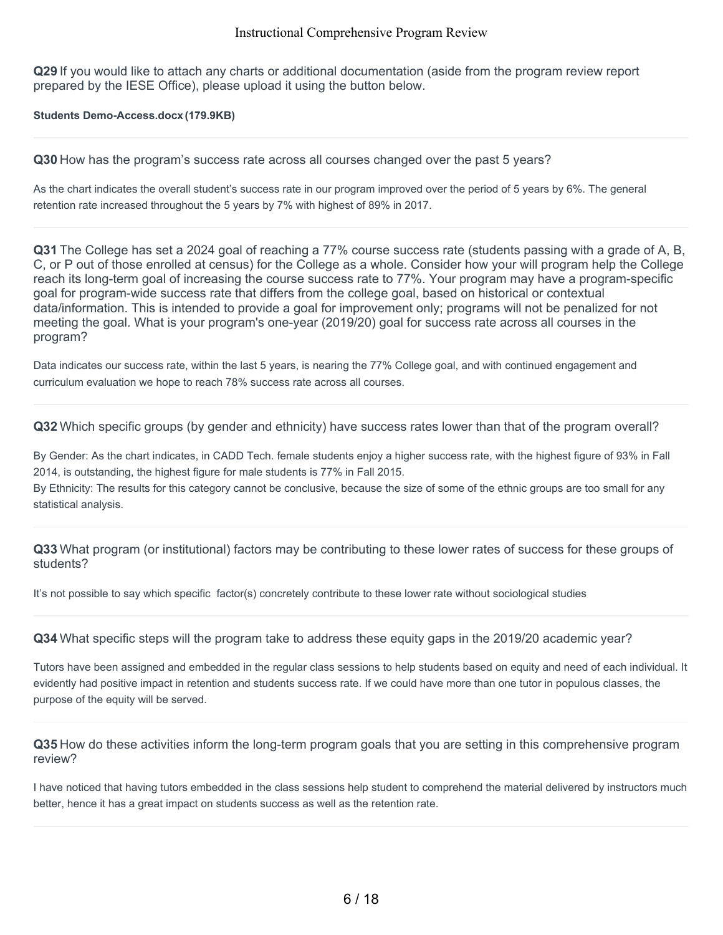**Q29** If you would like to attach any charts or additional documentation (aside from the program review report prepared by the IESE Office), please upload it using the button below.

**Students Demo-Access.docx (179.9KB)**

**Q30** How has the program's success rate across all courses changed over the past 5 years?

As the chart indicates the overall student's success rate in our program improved over the period of 5 years by 6%. The general retention rate increased throughout the 5 years by 7% with highest of 89% in 2017.

**Q31** The College has set a 2024 goal of reaching a 77% course success rate (students passing with a grade of A, B, C, or P out of those enrolled at census) for the College as a whole. Consider how your will program help the College reach its long-term goal of increasing the course success rate to 77%. Your program may have a program-specific goal for program-wide success rate that differs from the college goal, based on historical or contextual data/information. This is intended to provide a goal for improvement only; programs will not be penalized for not meeting the goal. What is your program's one-year (2019/20) goal for success rate across all courses in the program?

Data indicates our success rate, within the last 5 years, is nearing the 77% College goal, and with continued engagement and curriculum evaluation we hope to reach 78% success rate across all courses.

**Q32** Which specific groups (by gender and ethnicity) have success rates lower than that of the program overall?

By Gender: As the chart indicates, in CADD Tech. female students enjoy a higher success rate, with the highest figure of 93% in Fall 2014, is outstanding, the highest figure for male students is 77% in Fall 2015.

By Ethnicity: The results for this category cannot be conclusive, because the size of some of the ethnic groups are too small for any statistical analysis.

**Q33** What program (or institutional) factors may be contributing to these lower rates of success for these groups of students?

It's not possible to say which specific factor(s) concretely contribute to these lower rate without sociological studies

**Q34** What specific steps will the program take to address these equity gaps in the 2019/20 academic year?

Tutors have been assigned and embedded in the regular class sessions to help students based on equity and need of each individual. It evidently had positive impact in retention and students success rate. If we could have more than one tutor in populous classes, the purpose of the equity will be served.

**Q35** How do these activities inform the long-term program goals that you are setting in this comprehensive program review?

I have noticed that having tutors embedded in the class sessions help student to comprehend the material delivered by instructors much better, hence it has a great impact on students success as well as the retention rate.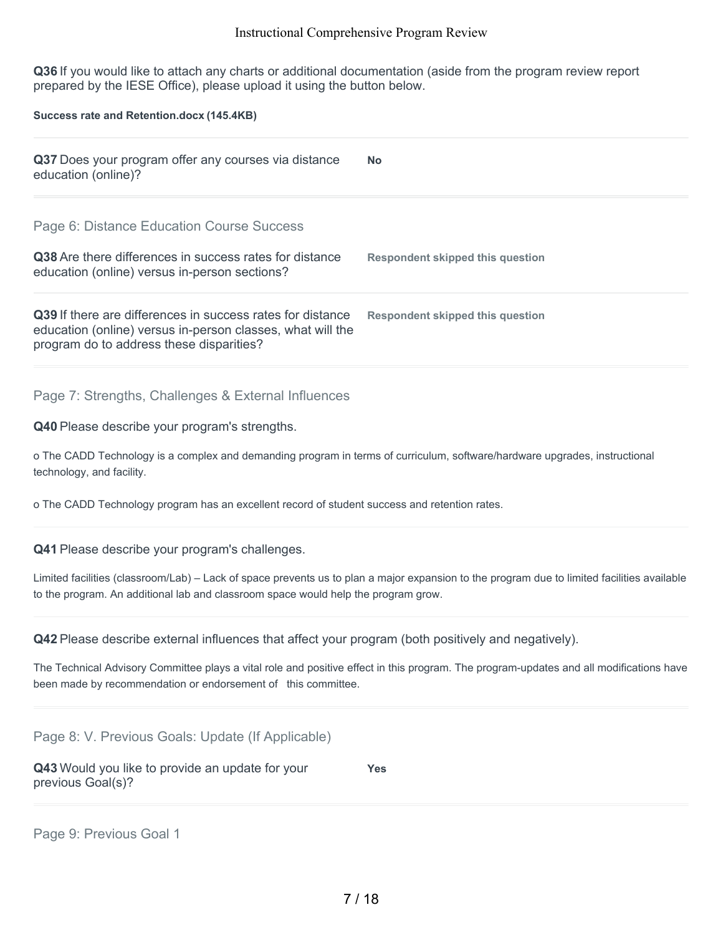**Q36** If you would like to attach any charts or additional documentation (aside from the program review report prepared by the IESE Office), please upload it using the button below.

**Success rate and Retention.docx (145.4KB)**

| Q37 Does your program offer any courses via distance<br>education (online)?                                                                                          | <b>No</b>                        |
|----------------------------------------------------------------------------------------------------------------------------------------------------------------------|----------------------------------|
| Page 6: Distance Education Course Success                                                                                                                            |                                  |
| <b>Q38</b> Are there differences in success rates for distance<br>education (online) versus in-person sections?                                                      | Respondent skipped this question |
| Q39 If there are differences in success rates for distance<br>education (online) versus in-person classes, what will the<br>program do to address these disparities? | Respondent skipped this question |
| Page 7: Strengths, Challenges & External Influences                                                                                                                  |                                  |
| Q40 Please describe your program's strengths.                                                                                                                        |                                  |

o The CADD Technology is a complex and demanding program in terms of curriculum, software/hardware upgrades, instructional technology, and facility.

o The CADD Technology program has an excellent record of student success and retention rates.

**Q41** Please describe your program's challenges.

Limited facilities (classroom/Lab) – Lack of space prevents us to plan a major expansion to the program due to limited facilities available to the program. An additional lab and classroom space would help the program grow.

**Q42** Please describe external influences that affect your program (both positively and negatively).

The Technical Advisory Committee plays a vital role and positive effect in this program. The program-updates and all modifications have been made by recommendation or endorsement of this committee.

Page 8: V. Previous Goals: Update (If Applicable)

**Q43** Would you like to provide an update for your previous Goal(s)? **Yes**

Page 9: Previous Goal 1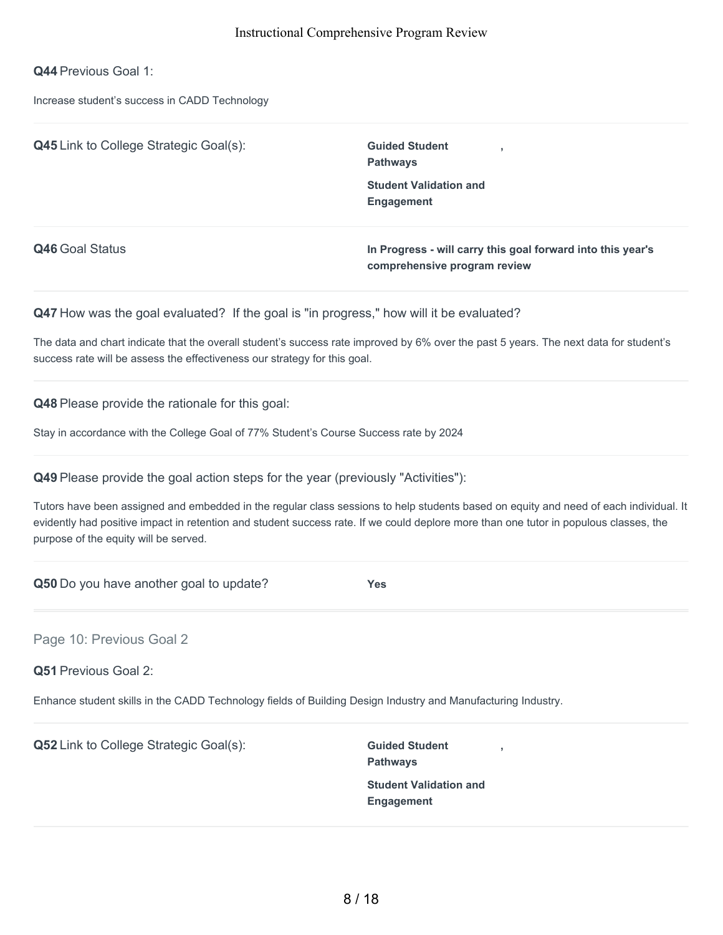**Q44** Previous Goal 1:

Increase student's success in CADD Technology

| <b>Q45</b> Link to College Strategic Goal(s): | <b>Guided Student</b><br><b>Pathways</b>                                                    |
|-----------------------------------------------|---------------------------------------------------------------------------------------------|
|                                               | <b>Student Validation and</b><br>Engagement                                                 |
| Q46 Goal Status                               | In Progress - will carry this goal forward into this year's<br>comprehensive program review |

Q47 How was the goal evaluated? If the goal is "in progress," how will it be evaluated?

The data and chart indicate that the overall student's success rate improved by 6% over the past 5 years. The next data for student's success rate will be assess the effectiveness our strategy for this goal.

**Q48** Please provide the rationale for this goal:

Stay in accordance with the College Goal of 77% Student's Course Success rate by 2024

**Q49** Please provide the goal action steps for the year (previously "Activities"):

Tutors have been assigned and embedded in the regular class sessions to help students based on equity and need of each individual. It evidently had positive impact in retention and student success rate. If we could deplore more than one tutor in populous classes, the purpose of the equity will be served.

**Q50** Do you have another goal to update? **Yes**

Page 10: Previous Goal 2

**Q51** Previous Goal 2:

Enhance student skills in the CADD Technology fields of Building Design Industry and Manufacturing Industry.

**Q52** Link to College Strategic Goal(s): **Guided Student** 

**Pathways Student Validation and Engagement**

**,**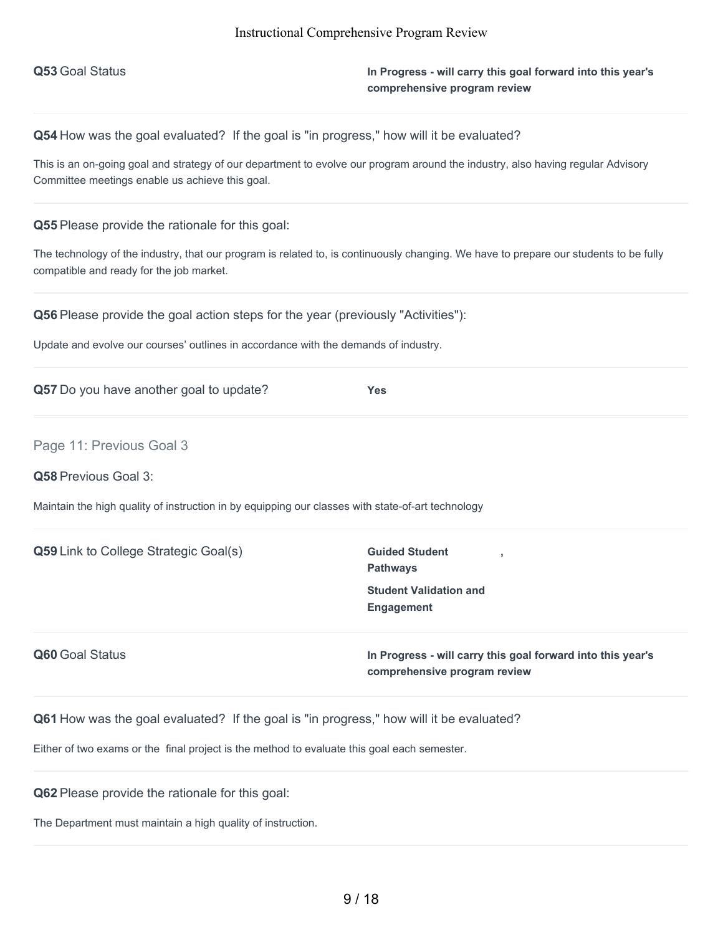**Q53** Goal Status **In Progress - will carry this goal forward into this year's comprehensive program review**

**Q54** How was the goal evaluated? If the goal is "in progress," how will it be evaluated?

This is an on-going goal and strategy of our department to evolve our program around the industry, also having regular Advisory Committee meetings enable us achieve this goal.

**Q55** Please provide the rationale for this goal:

The technology of the industry, that our program is related to, is continuously changing. We have to prepare our students to be fully compatible and ready for the job market.

**Q56** Please provide the goal action steps for the year (previously "Activities"):

Update and evolve our courses' outlines in accordance with the demands of industry.

Page 11: Previous Goal 3

**Q58** Previous Goal 3:

Maintain the high quality of instruction in by equipping our classes with state-of-art technology

| <b>Q59</b> Link to College Strategic Goal(s) | <b>Guided Student</b><br><b>Pathways</b>                                                    |
|----------------------------------------------|---------------------------------------------------------------------------------------------|
|                                              | <b>Student Validation and</b><br>Engagement                                                 |
| <b>Q60</b> Goal Status                       | In Progress - will carry this goal forward into this year's<br>comprehensive program review |

**Q61** How was the goal evaluated? If the goal is "in progress," how will it be evaluated?

Either of two exams or the final project is the method to evaluate this goal each semester.

**Q62** Please provide the rationale for this goal:

The Department must maintain a high quality of instruction.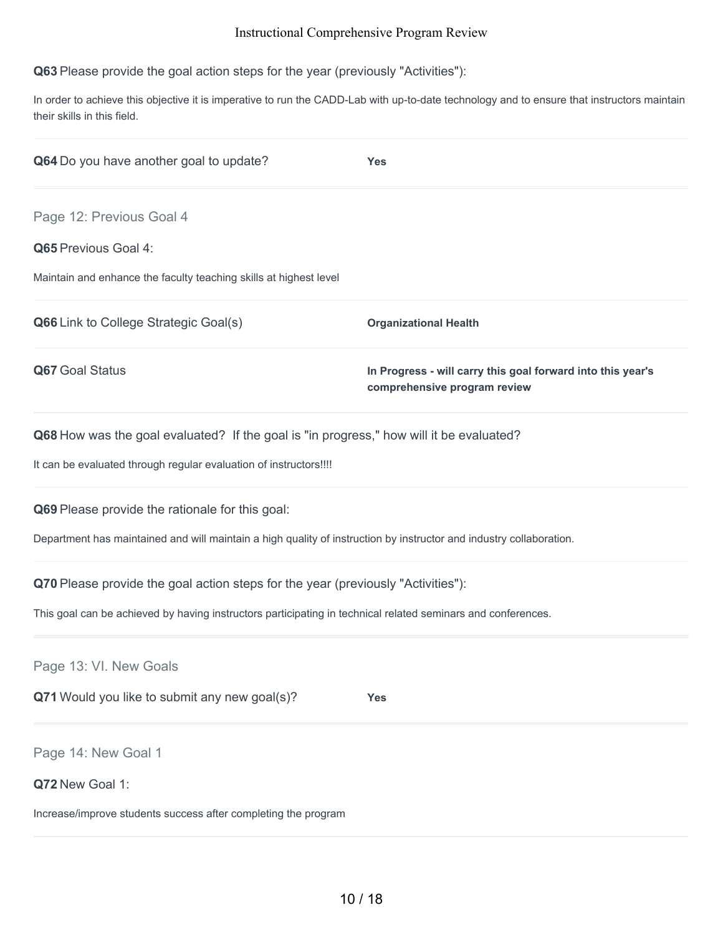**Q63** Please provide the goal action steps for the year (previously "Activities"):

In order to achieve this objective it is imperative to run the CADD-Lab with up-to-date technology and to ensure that instructors maintain their skills in this field.

| Q64 Do you have another goal to update?                                                                                                                                                          | <b>Yes</b>                                                                                  |
|--------------------------------------------------------------------------------------------------------------------------------------------------------------------------------------------------|---------------------------------------------------------------------------------------------|
| Page 12: Previous Goal 4<br>Q65 Previous Goal 4:<br>Maintain and enhance the faculty teaching skills at highest level                                                                            |                                                                                             |
| Q66 Link to College Strategic Goal(s)                                                                                                                                                            | <b>Organizational Health</b>                                                                |
| Q67 Goal Status                                                                                                                                                                                  | In Progress - will carry this goal forward into this year's<br>comprehensive program review |
| Q68 How was the goal evaluated? If the goal is "in progress," how will it be evaluated?<br>It can be evaluated through regular evaluation of instructors!!!!                                     |                                                                                             |
| Q69 Please provide the rationale for this goal:<br>Department has maintained and will maintain a high quality of instruction by instructor and industry collaboration.                           |                                                                                             |
| Q70 Please provide the goal action steps for the year (previously "Activities"):<br>This goal can be achieved by having instructors participating in technical related seminars and conferences. |                                                                                             |
| Page 13: VI. New Goals<br>Q71 Would you like to submit any new goal(s)?                                                                                                                          | <b>Yes</b>                                                                                  |
| Page 14: New Goal 1<br>Q72 New Goal 1:<br>Increase/improve students success after completing the program                                                                                         |                                                                                             |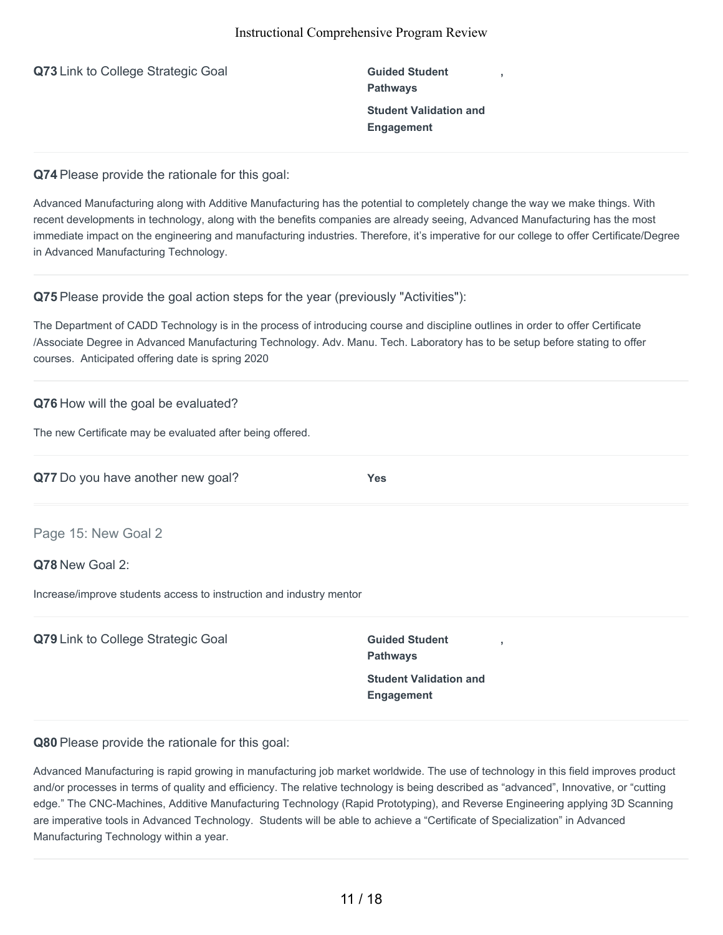| Q73 Link to College Strategic Goal |  |  |  |  |  |
|------------------------------------|--|--|--|--|--|
|------------------------------------|--|--|--|--|--|

**Guided Student Pathways Student Validation and Engagement**

**,**

**Q74** Please provide the rationale for this goal:

Advanced Manufacturing along with Additive Manufacturing has the potential to completely change the way we make things. With recent developments in technology, along with the benefits companies are already seeing, Advanced Manufacturing has the most immediate impact on the engineering and manufacturing industries. Therefore, it's imperative for our college to offer Certificate/Degree in Advanced Manufacturing Technology.

**Q75** Please provide the goal action steps for the year (previously "Activities"):

The Department of CADD Technology is in the process of introducing course and discipline outlines in order to offer Certificate /Associate Degree in Advanced Manufacturing Technology. Adv. Manu. Tech. Laboratory has to be setup before stating to offer courses. Anticipated offering date is spring 2020

## **Q76** How will the goal be evaluated?

The new Certificate may be evaluated after being offered.

| Q77 Do you have another new goal? | <b>Yes</b> |
|-----------------------------------|------------|
|                                   |            |

Page 15: New Goal 2

#### **Q78** New Goal 2:

Increase/improve students access to instruction and industry mentor

**Q79** Link to College Strategic Goal **Guided Guided** Student

**Pathways Student Validation and Engagement**

**,**

**Q80** Please provide the rationale for this goal:

Advanced Manufacturing is rapid growing in manufacturing job market worldwide. The use of technology in this field improves product and/or processes in terms of quality and efficiency. The relative technology is being described as "advanced", Innovative, or "cutting edge." The CNC-Machines, Additive Manufacturing Technology (Rapid Prototyping), and Reverse Engineering applying 3D Scanning are imperative tools in Advanced Technology. Students will be able to achieve a "Certificate of Specialization" in Advanced Manufacturing Technology within a year.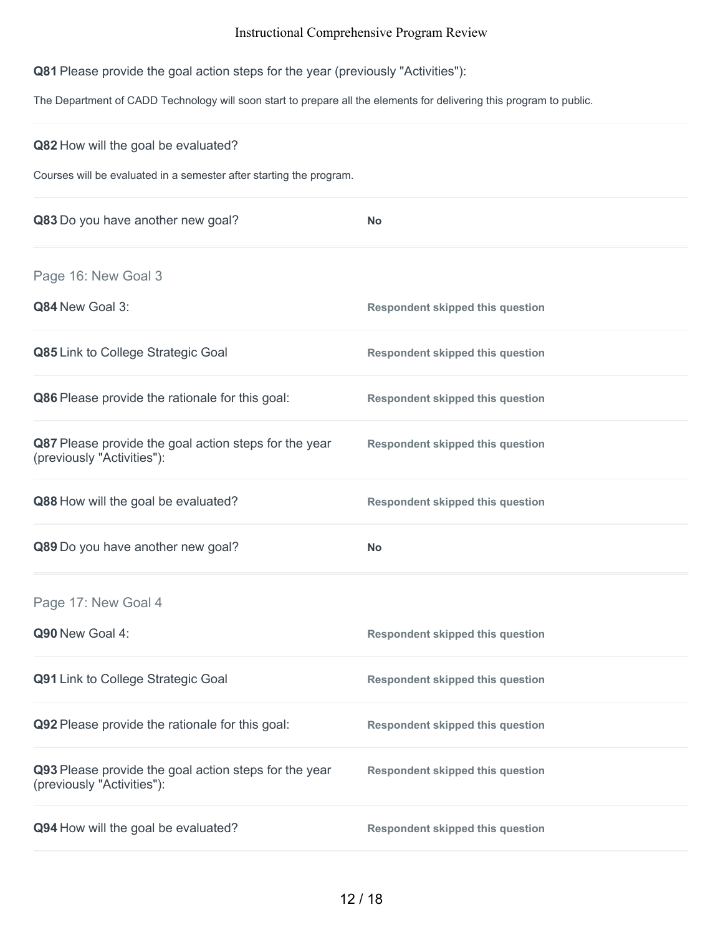**Q81** Please provide the goal action steps for the year (previously "Activities"):

The Department of CADD Technology will soon start to prepare all the elements for delivering this program to public.

| Q82 How will the goal be evaluated?<br>Courses will be evaluated in a semester after starting the program. |                                         |
|------------------------------------------------------------------------------------------------------------|-----------------------------------------|
| Q83 Do you have another new goal?                                                                          | <b>No</b>                               |
| Page 16: New Goal 3                                                                                        |                                         |
| Q84 New Goal 3:                                                                                            | <b>Respondent skipped this question</b> |
| Q85 Link to College Strategic Goal                                                                         | <b>Respondent skipped this question</b> |
| Q86 Please provide the rationale for this goal:                                                            | <b>Respondent skipped this question</b> |
| Q87 Please provide the goal action steps for the year<br>(previously "Activities"):                        | <b>Respondent skipped this question</b> |
| Q88 How will the goal be evaluated?                                                                        | <b>Respondent skipped this question</b> |
| Q89 Do you have another new goal?                                                                          | <b>No</b>                               |
| Page 17: New Goal 4                                                                                        |                                         |
| Q90 New Goal 4:                                                                                            | <b>Respondent skipped this question</b> |
| Q91 Link to College Strategic Goal                                                                         | <b>Respondent skipped this question</b> |
| Q92 Please provide the rationale for this goal:                                                            | <b>Respondent skipped this question</b> |
| Q93 Please provide the goal action steps for the year<br>(previously "Activities"):                        | <b>Respondent skipped this question</b> |
| Q94 How will the goal be evaluated?                                                                        | <b>Respondent skipped this question</b> |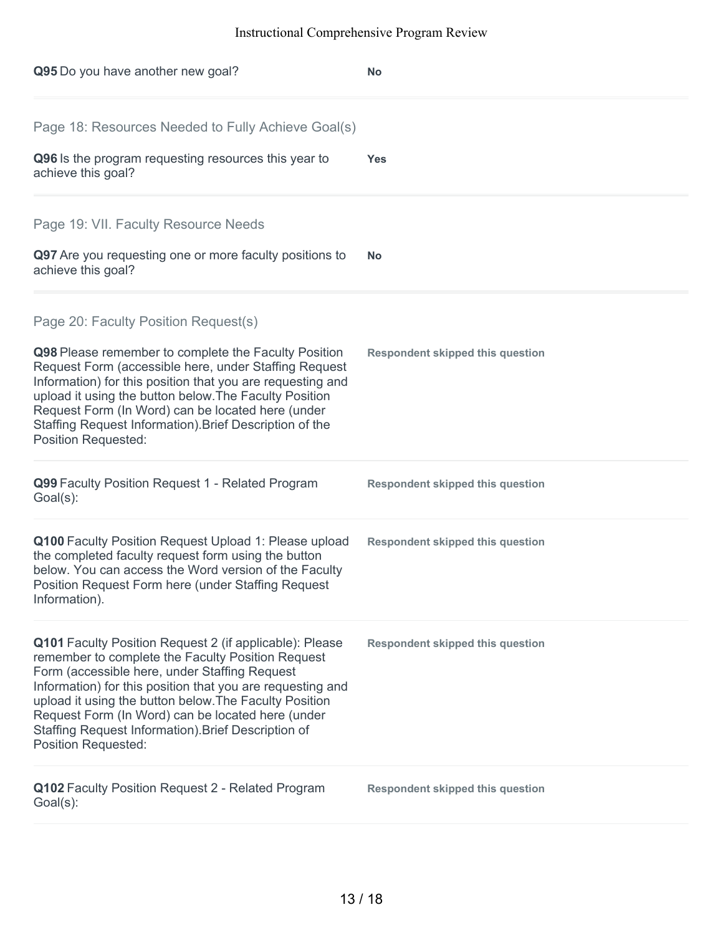| Q95 Do you have another new goal?                                                                                                                                                                                                                                                                                                                                                                                               | <b>No</b>                               |
|---------------------------------------------------------------------------------------------------------------------------------------------------------------------------------------------------------------------------------------------------------------------------------------------------------------------------------------------------------------------------------------------------------------------------------|-----------------------------------------|
| Page 18: Resources Needed to Fully Achieve Goal(s)<br>Q96 Is the program requesting resources this year to<br>achieve this goal?                                                                                                                                                                                                                                                                                                | <b>Yes</b>                              |
| Page 19: VII. Faculty Resource Needs<br>Q97 Are you requesting one or more faculty positions to<br>achieve this goal?                                                                                                                                                                                                                                                                                                           | No.                                     |
| Page 20: Faculty Position Request(s)<br>Q98 Please remember to complete the Faculty Position<br>Request Form (accessible here, under Staffing Request<br>Information) for this position that you are requesting and<br>upload it using the button below. The Faculty Position<br>Request Form (In Word) can be located here (under<br>Staffing Request Information). Brief Description of the<br><b>Position Requested:</b>     | <b>Respondent skipped this question</b> |
| Q99 Faculty Position Request 1 - Related Program<br>$Goal(s)$ :                                                                                                                                                                                                                                                                                                                                                                 | <b>Respondent skipped this question</b> |
| Q100 Faculty Position Request Upload 1: Please upload<br>the completed faculty request form using the button<br>below. You can access the Word version of the Faculty<br>Position Request Form here (under Staffing Request<br>Information).                                                                                                                                                                                    | <b>Respondent skipped this question</b> |
| Q101 Faculty Position Request 2 (if applicable): Please<br>remember to complete the Faculty Position Request<br>Form (accessible here, under Staffing Request<br>Information) for this position that you are requesting and<br>upload it using the button below. The Faculty Position<br>Request Form (In Word) can be located here (under<br>Staffing Request Information). Brief Description of<br><b>Position Requested:</b> | <b>Respondent skipped this question</b> |
| Q102 Faculty Position Request 2 - Related Program<br>Goal(s):                                                                                                                                                                                                                                                                                                                                                                   | <b>Respondent skipped this question</b> |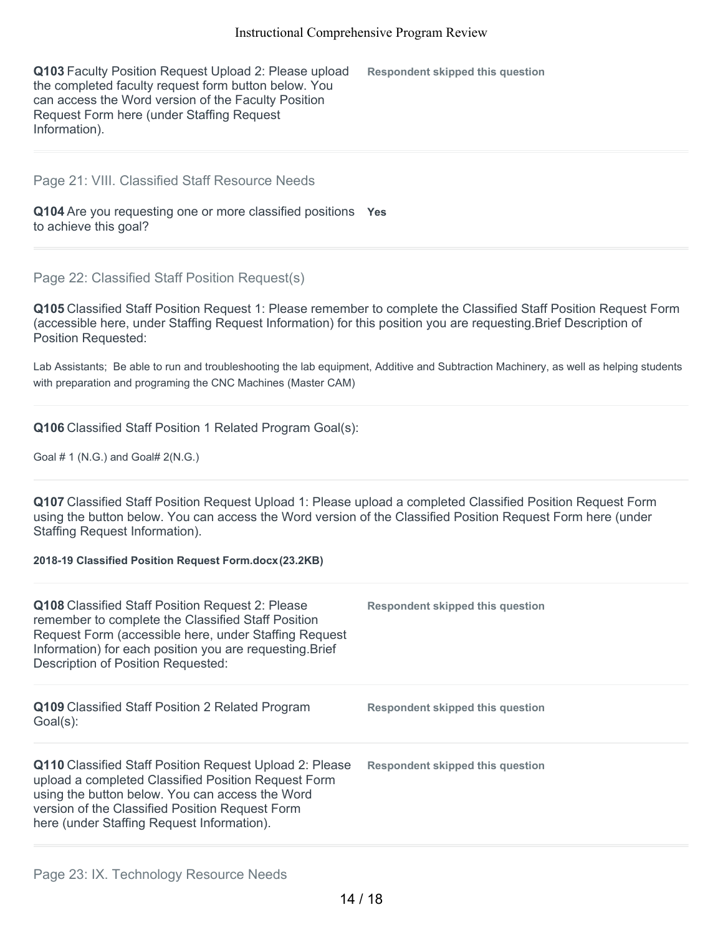**Q103** Faculty Position Request Upload 2: Please upload the completed faculty request form button below. You can access the Word version of the Faculty Position Request Form here (under Staffing Request Information). **Respondent skipped this question**

#### Page 21: VIII. Classified Staff Resource Needs

**Q104** Are you requesting one or more classified positions **Yes** to achieve this goal?

#### Page 22: Classified Staff Position Request(s)

**Q105** Classified Staff Position Request 1: Please remember to complete the Classified Staff Position Request Form (accessible here, under Staffing Request Information) for this position you are requesting.Brief Description of Position Requested:

Lab Assistants; Be able to run and troubleshooting the lab equipment, Additive and Subtraction Machinery, as well as helping students with preparation and programing the CNC Machines (Master CAM)

### **Q106** Classified Staff Position 1 Related Program Goal(s):

Goal # 1 (N.G.) and Goal# 2(N.G.)

**Q107** Classified Staff Position Request Upload 1: Please upload a completed Classified Position Request Form using the button below. You can access the Word version of the Classified Position Request Form here (under Staffing Request Information).

#### **2018-19 Classified Position Request Form.docx(23.2KB)**

| <b>Q108</b> Classified Staff Position Request 2: Please<br>remember to complete the Classified Staff Position<br>Request Form (accessible here, under Staffing Request<br>Information) for each position you are requesting. Brief<br>Description of Position Requested:  | Respondent skipped this question |
|---------------------------------------------------------------------------------------------------------------------------------------------------------------------------------------------------------------------------------------------------------------------------|----------------------------------|
| Q109 Classified Staff Position 2 Related Program<br>Goal(s):                                                                                                                                                                                                              | Respondent skipped this question |
| <b>Q110</b> Classified Staff Position Request Upload 2: Please<br>upload a completed Classified Position Request Form<br>using the button below. You can access the Word<br>version of the Classified Position Request Form<br>here (under Staffing Request Information). | Respondent skipped this question |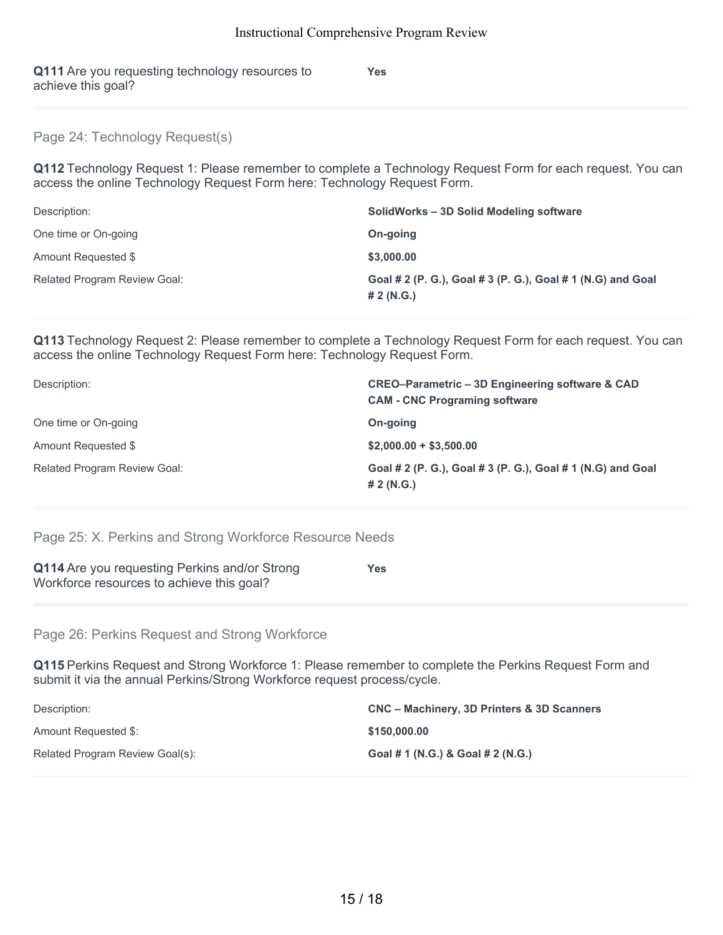**Q111** Are you requesting technology resources to achieve this goal?

**Yes**

Page 24: Technology Request(s)

**Q112** Technology Request 1: Please remember to complete a Technology Request Form for each request. You can access the online Technology Request Form here: Technology Request Form.

| Description:                        | SolidWorks - 3D Solid Modeling software                                   |
|-------------------------------------|---------------------------------------------------------------------------|
| One time or On-going                | On-going                                                                  |
| Amount Requested \$                 | \$3,000.00                                                                |
| <b>Related Program Review Goal:</b> | Goal # 2 (P. G.), Goal # 3 (P. G.), Goal # 1 (N.G) and Goal<br># 2 (N.G.) |

**Q113** Technology Request 2: Please remember to complete a Technology Request Form for each request. You can access the online Technology Request Form here: Technology Request Form.

| Description:                        | CREO-Parametric - 3D Engineering software & CAD<br><b>CAM - CNC Programing software</b> |
|-------------------------------------|-----------------------------------------------------------------------------------------|
| One time or On-going                | On-going                                                                                |
| Amount Requested \$                 | $$2,000.00 + $3,500.00$                                                                 |
| <b>Related Program Review Goal:</b> | Goal # 2 (P. G.), Goal # 3 (P. G.), Goal # 1 (N.G) and Goal<br># 2 (N.G.)               |

Page 25: X. Perkins and Strong Workforce Resource Needs

| <b>Q114</b> Are you requesting Perkins and/or Strong | <b>Yes</b> |
|------------------------------------------------------|------------|
| Workforce resources to achieve this goal?            |            |
|                                                      |            |

Page 26: Perkins Request and Strong Workforce

**Q115** Perkins Request and Strong Workforce 1: Please remember to complete the Perkins Request Form and submit it via the annual Perkins/Strong Workforce request process/cycle.

| Description:                    | CNC – Machinery, 3D Printers & 3D Scanners |
|---------------------------------|--------------------------------------------|
| Amount Requested \$:            | \$150,000,00                               |
| Related Program Review Goal(s): | Goal # 1 (N.G.) & Goal # 2 (N.G.)          |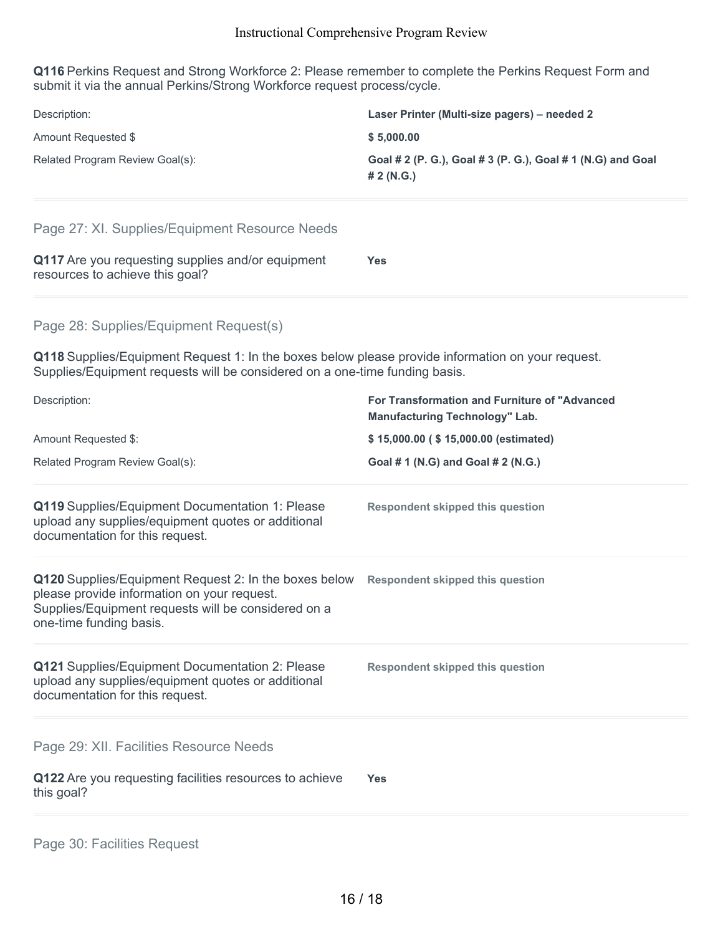**Q116** Perkins Request and Strong Workforce 2: Please remember to complete the Perkins Request Form and submit it via the annual Perkins/Strong Workforce request process/cycle.

| Description:<br>Amount Requested \$<br>Related Program Review Goal(s):<br>Page 27: XI. Supplies/Equipment Resource Needs                                                                                                   | Laser Printer (Multi-size pagers) - needed 2<br>\$5,000.00<br>Goal # 2 (P. G.), Goal # 3 (P. G.), Goal # 1 (N.G) and Goal<br># 2 (N.G.) |
|----------------------------------------------------------------------------------------------------------------------------------------------------------------------------------------------------------------------------|-----------------------------------------------------------------------------------------------------------------------------------------|
| Q117 Are you requesting supplies and/or equipment<br>resources to achieve this goal?                                                                                                                                       | <b>Yes</b>                                                                                                                              |
| Page 28: Supplies/Equipment Request(s)<br>Q118 Supplies/Equipment Request 1: In the boxes below please provide information on your request.<br>Supplies/Equipment requests will be considered on a one-time funding basis. |                                                                                                                                         |
| Description:                                                                                                                                                                                                               | For Transformation and Furniture of "Advanced<br><b>Manufacturing Technology" Lab.</b>                                                  |
| Amount Requested \$:                                                                                                                                                                                                       | \$15,000.00 (\$15,000.00 (estimated)                                                                                                    |
| Related Program Review Goal(s):                                                                                                                                                                                            | Goal # 1 (N.G) and Goal # 2 (N.G.)                                                                                                      |
| Q119 Supplies/Equipment Documentation 1: Please<br>upload any supplies/equipment quotes or additional<br>documentation for this request.                                                                                   | <b>Respondent skipped this question</b>                                                                                                 |
| Q120 Supplies/Equipment Request 2: In the boxes below Respondent skipped this question<br>please provide information on your request.<br>Supplies/Equipment requests will be considered on a<br>one-time funding basis.    |                                                                                                                                         |
| Q121 Supplies/Equipment Documentation 2: Please<br>upload any supplies/equipment quotes or additional<br>documentation for this request.                                                                                   | <b>Respondent skipped this question</b>                                                                                                 |
| Page 29: XII. Facilities Resource Needs<br>Q122 Are you requesting facilities resources to achieve<br>this goal?                                                                                                           | <b>Yes</b>                                                                                                                              |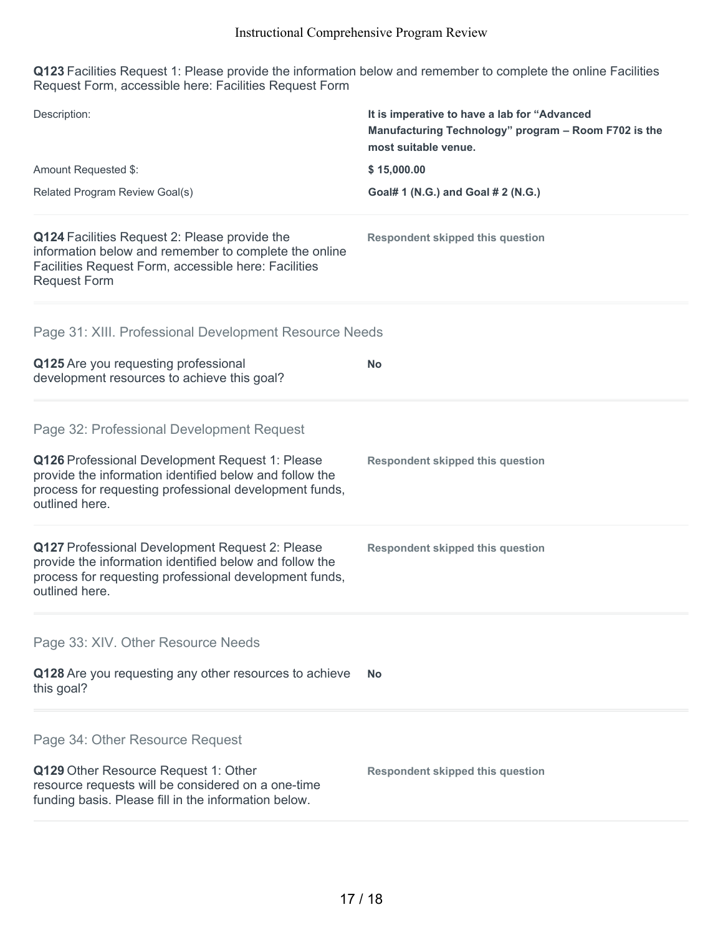**Q123** Facilities Request 1: Please provide the information below and remember to complete the online Facilities Request Form, accessible here: Facilities Request Form

| Description:                                                                                                                                                                           | It is imperative to have a lab for "Advanced<br>Manufacturing Technology" program - Room F702 is the<br>most suitable venue. |
|----------------------------------------------------------------------------------------------------------------------------------------------------------------------------------------|------------------------------------------------------------------------------------------------------------------------------|
| Amount Requested \$:                                                                                                                                                                   | \$15,000.00                                                                                                                  |
| Related Program Review Goal(s)                                                                                                                                                         | Goal# 1 (N.G.) and Goal # 2 (N.G.)                                                                                           |
| Q124 Facilities Request 2: Please provide the<br>information below and remember to complete the online<br>Facilities Request Form, accessible here: Facilities<br><b>Request Form</b>  | <b>Respondent skipped this question</b>                                                                                      |
| Page 31: XIII. Professional Development Resource Needs                                                                                                                                 |                                                                                                                              |
| Q125 Are you requesting professional<br>development resources to achieve this goal?                                                                                                    | <b>No</b>                                                                                                                    |
| Page 32: Professional Development Request                                                                                                                                              |                                                                                                                              |
| Q126 Professional Development Request 1: Please<br>provide the information identified below and follow the<br>process for requesting professional development funds,<br>outlined here. | <b>Respondent skipped this question</b>                                                                                      |
| Q127 Professional Development Request 2: Please<br>provide the information identified below and follow the<br>process for requesting professional development funds,<br>outlined here. | <b>Respondent skipped this question</b>                                                                                      |
| Page 33: XIV. Other Resource Needs                                                                                                                                                     |                                                                                                                              |
| Q128 Are you requesting any other resources to achieve<br>this goal?                                                                                                                   | <b>No</b>                                                                                                                    |
| Page 34: Other Resource Request                                                                                                                                                        |                                                                                                                              |
| Q129 Other Resource Request 1: Other<br>resource requests will be considered on a one-time<br>funding basis. Please fill in the information below.                                     | <b>Respondent skipped this question</b>                                                                                      |